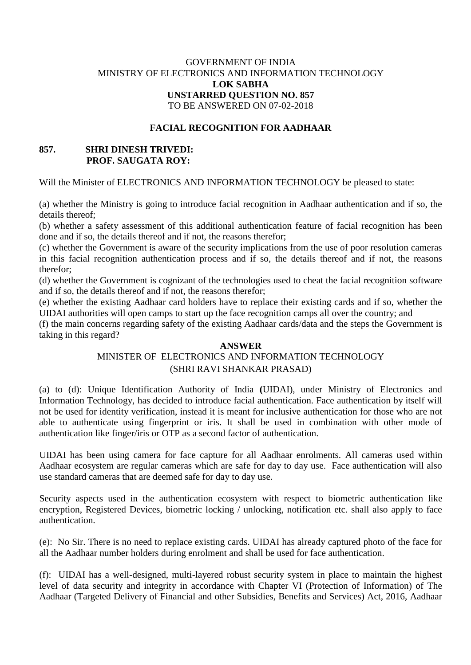## GOVERNMENT OF INDIA MINISTRY OF ELECTRONICS AND INFORMATION TECHNOLOGY **LOK SABHA UNSTARRED QUESTION NO. 857** TO BE ANSWERED ON 07-02-2018

#### **FACIAL RECOGNITION FOR AADHAAR**

## **857. SHRI DINESH TRIVEDI: PROF. SAUGATA ROY:**

Will the Minister of ELECTRONICS AND INFORMATION TECHNOLOGY be pleased to state:

(a) whether the Ministry is going to introduce facial recognition in Aadhaar authentication and if so, the details thereof;

(b) whether a safety assessment of this additional authentication feature of facial recognition has been done and if so, the details thereof and if not, the reasons therefor;

(c) whether the Government is aware of the security implications from the use of poor resolution cameras in this facial recognition authentication process and if so, the details thereof and if not, the reasons therefor;

(d) whether the Government is cognizant of the technologies used to cheat the facial recognition software and if so, the details thereof and if not, the reasons therefor;

(e) whether the existing Aadhaar card holders have to replace their existing cards and if so, whether the UIDAI authorities will open camps to start up the face recognition camps all over the country; and

(f) the main concerns regarding safety of the existing Aadhaar cards/data and the steps the Government is taking in this regard?

#### **ANSWER**

# MINISTER OF ELECTRONICS AND INFORMATION TECHNOLOGY (SHRI RAVI SHANKAR PRASAD)

(a) to (d): Unique Identification Authority of India **(**UIDAI), under Ministry of Electronics and Information Technology, has decided to introduce facial authentication. Face authentication by itself will not be used for identity verification, instead it is meant for inclusive authentication for those who are not able to authenticate using fingerprint or iris. It shall be used in combination with other mode of authentication like finger/iris or OTP as a second factor of authentication.

UIDAI has been using camera for face capture for all Aadhaar enrolments. All cameras used within Aadhaar ecosystem are regular cameras which are safe for day to day use. Face authentication will also use standard cameras that are deemed safe for day to day use.

Security aspects used in the authentication ecosystem with respect to biometric authentication like encryption, Registered Devices, biometric locking / unlocking, notification etc. shall also apply to face authentication.

(e): No Sir. There is no need to replace existing cards. UIDAI has already captured photo of the face for all the Aadhaar number holders during enrolment and shall be used for face authentication.

(f): UIDAI has a well-designed, multi-layered robust security system in place to maintain the highest level of data security and integrity in accordance with Chapter VI (Protection of Information) of The Aadhaar (Targeted Delivery of Financial and other Subsidies, Benefits and Services) Act, 2016, Aadhaar